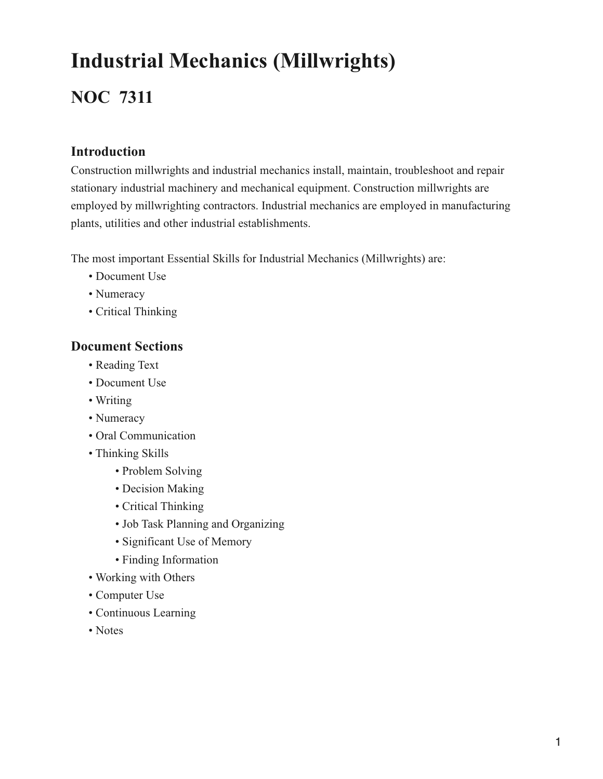# **Industrial Mechanics (Millwrights)**

# **NOC 7311**

### **Introduction**

Construction millwrights and industrial mechanics install, maintain, troubleshoot and repair stationary industrial machinery and mechanical equipment. Construction millwrights are employed by millwrighting contractors. Industrial mechanics are employed in manufacturing plants, utilities and other industrial establishments.

The most important Essential Skills for Industrial Mechanics (Millwrights) are:

- Document Use
- Numeracy
- Critical Thinking

### **Document Sections**

- Reading Text
- Document Use
- Writing
- Numeracy
- Oral Communication
- Thinking Skills
	- Problem Solving
	- Decision Making
	- Critical Thinking
	- Job Task Planning and Organizing
	- Significant Use of Memory
	- Finding Information
- Working with Others
- Computer Use
- Continuous Learning
- Notes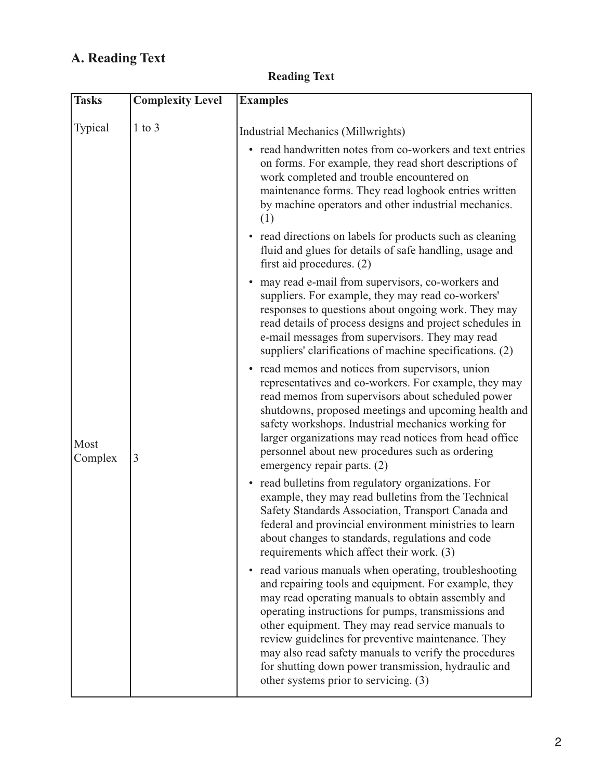# **A. Reading Text**

| <b>Reading Text</b> |  |
|---------------------|--|
|---------------------|--|

| <b>Tasks</b>    | <b>Complexity Level</b> | <b>Examples</b>                                                                                                                                                                                                                                                                                                                                                                                                                                                                                           |
|-----------------|-------------------------|-----------------------------------------------------------------------------------------------------------------------------------------------------------------------------------------------------------------------------------------------------------------------------------------------------------------------------------------------------------------------------------------------------------------------------------------------------------------------------------------------------------|
| Typical         | $1$ to $3$              | Industrial Mechanics (Millwrights)                                                                                                                                                                                                                                                                                                                                                                                                                                                                        |
|                 |                         | • read handwritten notes from co-workers and text entries<br>on forms. For example, they read short descriptions of<br>work completed and trouble encountered on<br>maintenance forms. They read logbook entries written<br>by machine operators and other industrial mechanics.<br>(1)                                                                                                                                                                                                                   |
|                 |                         | • read directions on labels for products such as cleaning<br>fluid and glues for details of safe handling, usage and<br>first aid procedures. $(2)$                                                                                                                                                                                                                                                                                                                                                       |
|                 |                         | may read e-mail from supervisors, co-workers and<br>$\bullet$<br>suppliers. For example, they may read co-workers'<br>responses to questions about ongoing work. They may<br>read details of process designs and project schedules in<br>e-mail messages from supervisors. They may read<br>suppliers' clarifications of machine specifications. (2)                                                                                                                                                      |
| Most<br>Complex | $\overline{3}$          | read memos and notices from supervisors, union<br>$\bullet$<br>representatives and co-workers. For example, they may<br>read memos from supervisors about scheduled power<br>shutdowns, proposed meetings and upcoming health and<br>safety workshops. Industrial mechanics working for<br>larger organizations may read notices from head office<br>personnel about new procedures such as ordering<br>emergency repair parts. (2)                                                                       |
|                 |                         | • read bulletins from regulatory organizations. For<br>example, they may read bulletins from the Technical<br>Safety Standards Association, Transport Canada and<br>federal and provincial environment ministries to learn<br>about changes to standards, regulations and code<br>requirements which affect their work. (3)                                                                                                                                                                               |
|                 |                         | read various manuals when operating, troubleshooting<br>$\bullet$<br>and repairing tools and equipment. For example, they<br>may read operating manuals to obtain assembly and<br>operating instructions for pumps, transmissions and<br>other equipment. They may read service manuals to<br>review guidelines for preventive maintenance. They<br>may also read safety manuals to verify the procedures<br>for shutting down power transmission, hydraulic and<br>other systems prior to servicing. (3) |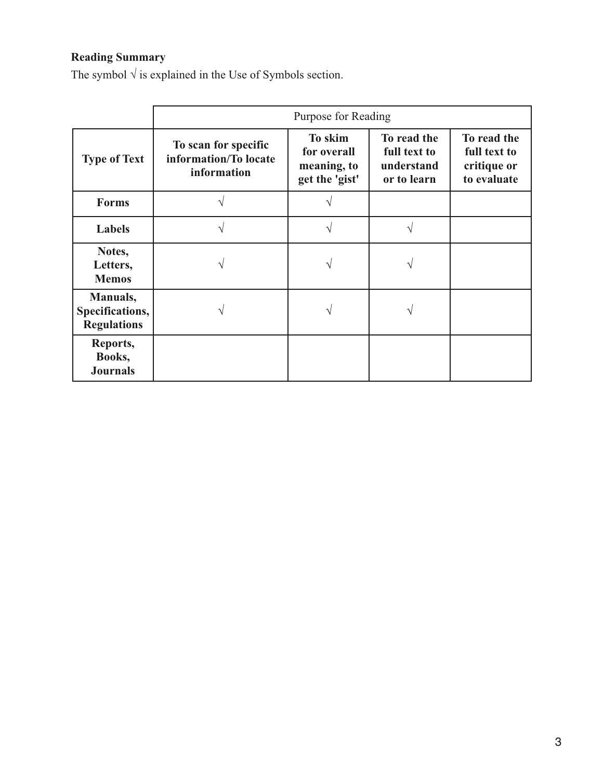# **Reading Summary**

The symbol  $\sqrt{ }$  is explained in the Use of Symbols section.

|                                                   | Purpose for Reading                                          |                                                         |                                                          |                                                           |  |
|---------------------------------------------------|--------------------------------------------------------------|---------------------------------------------------------|----------------------------------------------------------|-----------------------------------------------------------|--|
| <b>Type of Text</b>                               | To scan for specific<br>information/To locate<br>information | To skim<br>for overall<br>meaning, to<br>get the 'gist' | To read the<br>full text to<br>understand<br>or to learn | To read the<br>full text to<br>critique or<br>to evaluate |  |
| <b>Forms</b>                                      |                                                              | ٦                                                       |                                                          |                                                           |  |
| <b>Labels</b>                                     |                                                              |                                                         |                                                          |                                                           |  |
| Notes,<br>Letters,<br><b>Memos</b>                |                                                              |                                                         |                                                          |                                                           |  |
| Manuals,<br>Specifications,<br><b>Regulations</b> |                                                              |                                                         |                                                          |                                                           |  |
| Reports,<br>Books,<br><b>Journals</b>             |                                                              |                                                         |                                                          |                                                           |  |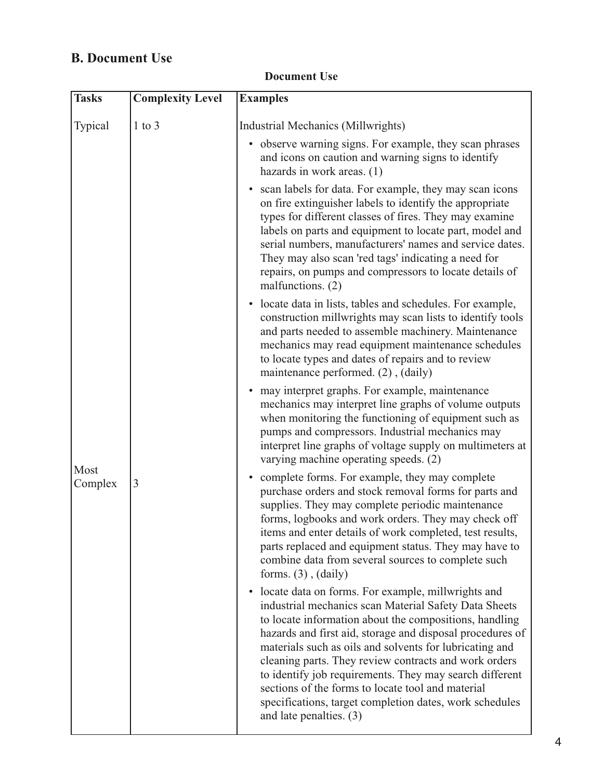## **B. Document Use**

| <b>Tasks</b>    | <b>Complexity Level</b> | <b>Examples</b>                                                                                                                                                                                                                                                                                                                                                                                                                                                                                                                                                           |
|-----------------|-------------------------|---------------------------------------------------------------------------------------------------------------------------------------------------------------------------------------------------------------------------------------------------------------------------------------------------------------------------------------------------------------------------------------------------------------------------------------------------------------------------------------------------------------------------------------------------------------------------|
| Typical         | $1$ to $3$              | Industrial Mechanics (Millwrights)                                                                                                                                                                                                                                                                                                                                                                                                                                                                                                                                        |
|                 |                         | • observe warning signs. For example, they scan phrases<br>and icons on caution and warning signs to identify<br>hazards in work areas. (1)                                                                                                                                                                                                                                                                                                                                                                                                                               |
|                 |                         | scan labels for data. For example, they may scan icons<br>$\bullet$<br>on fire extinguisher labels to identify the appropriate<br>types for different classes of fires. They may examine<br>labels on parts and equipment to locate part, model and<br>serial numbers, manufacturers' names and service dates.<br>They may also scan 'red tags' indicating a need for<br>repairs, on pumps and compressors to locate details of<br>malfunctions. (2)                                                                                                                      |
|                 |                         | • locate data in lists, tables and schedules. For example,<br>construction millwrights may scan lists to identify tools<br>and parts needed to assemble machinery. Maintenance<br>mechanics may read equipment maintenance schedules<br>to locate types and dates of repairs and to review<br>maintenance performed. (2), (daily)                                                                                                                                                                                                                                         |
|                 |                         | may interpret graphs. For example, maintenance<br>mechanics may interpret line graphs of volume outputs<br>when monitoring the functioning of equipment such as<br>pumps and compressors. Industrial mechanics may<br>interpret line graphs of voltage supply on multimeters at<br>varying machine operating speeds. (2)                                                                                                                                                                                                                                                  |
| Most<br>Complex | $\overline{3}$          | • complete forms. For example, they may complete<br>purchase orders and stock removal forms for parts and<br>supplies. They may complete periodic maintenance<br>forms, logbooks and work orders. They may check off<br>items and enter details of work completed, test results,<br>parts replaced and equipment status. They may have to<br>combine data from several sources to complete such<br>forms. $(3)$ , $(daily)$                                                                                                                                               |
|                 |                         | locate data on forms. For example, millwrights and<br>$\bullet$<br>industrial mechanics scan Material Safety Data Sheets<br>to locate information about the compositions, handling<br>hazards and first aid, storage and disposal procedures of<br>materials such as oils and solvents for lubricating and<br>cleaning parts. They review contracts and work orders<br>to identify job requirements. They may search different<br>sections of the forms to locate tool and material<br>specifications, target completion dates, work schedules<br>and late penalties. (3) |

### **Document Use**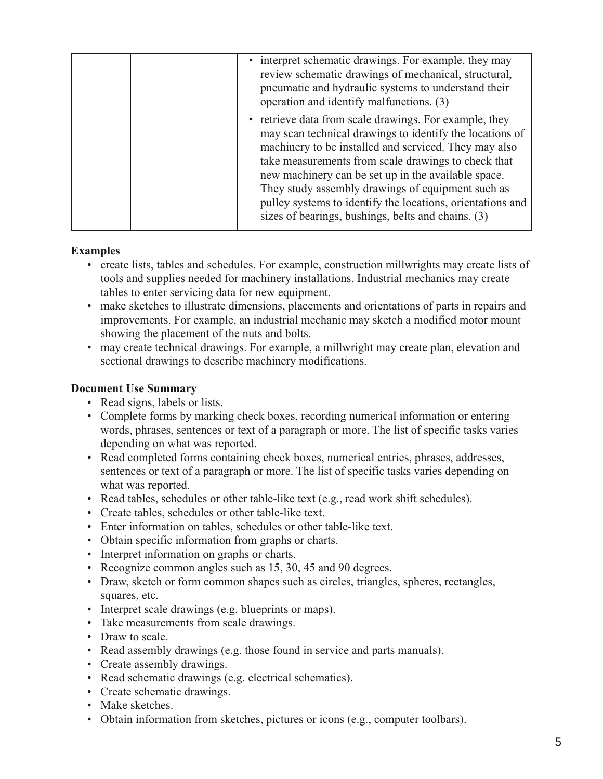| • interpret schematic drawings. For example, they may<br>review schematic drawings of mechanical, structural,<br>pneumatic and hydraulic systems to understand their<br>operation and identify malfunctions. (3)<br>• retrieve data from scale drawings. For example, they<br>may scan technical drawings to identify the locations of<br>machinery to be installed and serviced. They may also<br>take measurements from scale drawings to check that<br>new machinery can be set up in the available space.<br>They study assembly drawings of equipment such as<br>sizes of bearings, bushings, belts and chains. (3) |  |                                                            |
|--------------------------------------------------------------------------------------------------------------------------------------------------------------------------------------------------------------------------------------------------------------------------------------------------------------------------------------------------------------------------------------------------------------------------------------------------------------------------------------------------------------------------------------------------------------------------------------------------------------------------|--|------------------------------------------------------------|
|                                                                                                                                                                                                                                                                                                                                                                                                                                                                                                                                                                                                                          |  |                                                            |
|                                                                                                                                                                                                                                                                                                                                                                                                                                                                                                                                                                                                                          |  | pulley systems to identify the locations, orientations and |

#### **Examples**

- create lists, tables and schedules. For example, construction millwrights may create lists of tools and supplies needed for machinery installations. Industrial mechanics may create tables to enter servicing data for new equipment.
- make sketches to illustrate dimensions, placements and orientations of parts in repairs and improvements. For example, an industrial mechanic may sketch a modified motor mount showing the placement of the nuts and bolts.
- may create technical drawings. For example, a millwright may create plan, elevation and sectional drawings to describe machinery modifications.

### **Document Use Summary**

- Read signs, labels or lists.
- Complete forms by marking check boxes, recording numerical information or entering words, phrases, sentences or text of a paragraph or more. The list of specific tasks varies depending on what was reported.
- Read completed forms containing check boxes, numerical entries, phrases, addresses, sentences or text of a paragraph or more. The list of specific tasks varies depending on what was reported.
- Read tables, schedules or other table-like text (e.g., read work shift schedules).
- Create tables, schedules or other table-like text.
- Enter information on tables, schedules or other table-like text.
- Obtain specific information from graphs or charts.
- Interpret information on graphs or charts.
- Recognize common angles such as 15, 30, 45 and 90 degrees.
- Draw, sketch or form common shapes such as circles, triangles, spheres, rectangles, squares, etc.
- Interpret scale drawings (e.g. blueprints or maps).
- Take measurements from scale drawings.
- Draw to scale.
- Read assembly drawings (e.g. those found in service and parts manuals).
- Create assembly drawings.
- Read schematic drawings (e.g. electrical schematics).
- Create schematic drawings.
- Make sketches.
- Obtain information from sketches, pictures or icons (e.g., computer toolbars).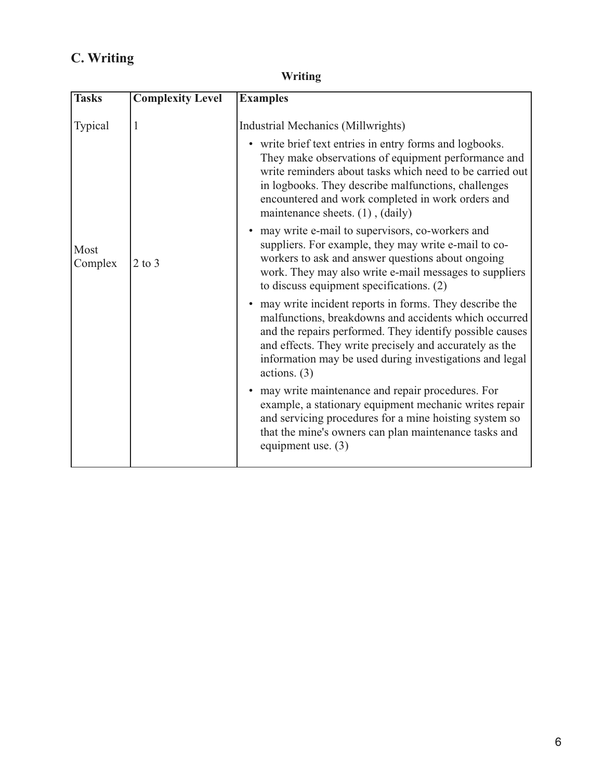# **C. Writing**

| <b>Writing</b> |
|----------------|
|----------------|

| <b>Tasks</b>    | <b>Complexity Level</b> | <b>Examples</b>                                                                                                                                                                                                                                                                                                                                                                                                                                                                                                                    |
|-----------------|-------------------------|------------------------------------------------------------------------------------------------------------------------------------------------------------------------------------------------------------------------------------------------------------------------------------------------------------------------------------------------------------------------------------------------------------------------------------------------------------------------------------------------------------------------------------|
| Typical<br>Most | 1                       | Industrial Mechanics (Millwrights)<br>• write brief text entries in entry forms and logbooks.<br>They make observations of equipment performance and<br>write reminders about tasks which need to be carried out<br>in logbooks. They describe malfunctions, challenges<br>encountered and work completed in work orders and<br>maintenance sheets. (1), (daily)<br>• may write e-mail to supervisors, co-workers and<br>suppliers. For example, they may write e-mail to co-<br>workers to ask and answer questions about ongoing |
| Complex         | $2$ to $3$              | work. They may also write e-mail messages to suppliers<br>to discuss equipment specifications. (2)<br>may write incident reports in forms. They describe the<br>malfunctions, breakdowns and accidents which occurred<br>and the repairs performed. They identify possible causes<br>and effects. They write precisely and accurately as the<br>information may be used during investigations and legal<br>actions. $(3)$                                                                                                          |
|                 |                         | may write maintenance and repair procedures. For<br>example, a stationary equipment mechanic writes repair<br>and servicing procedures for a mine hoisting system so<br>that the mine's owners can plan maintenance tasks and<br>equipment use. $(3)$                                                                                                                                                                                                                                                                              |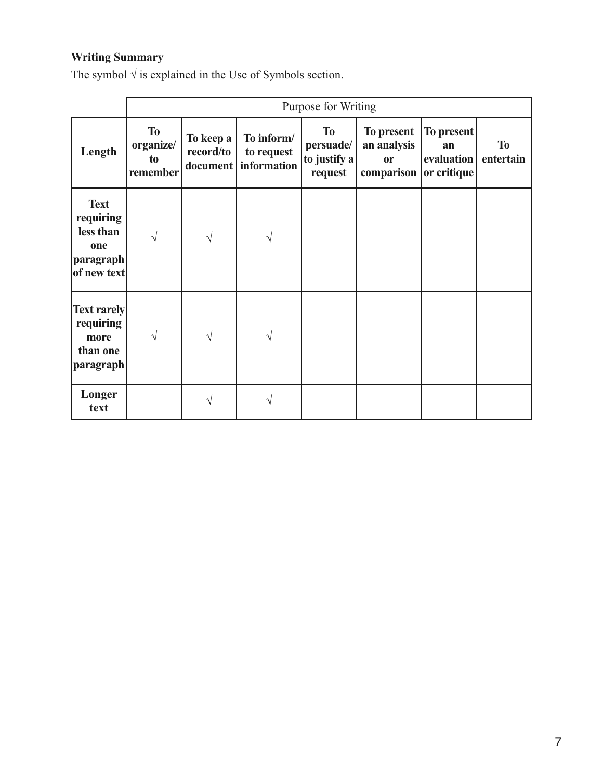# **Writing Summary**

The symbol  $\sqrt{ }$  is explained in the Use of Symbols section.

|                                                                            |                                          | Purpose for Writing    |                                                    |                                                   |                                                                  |                                       |                        |
|----------------------------------------------------------------------------|------------------------------------------|------------------------|----------------------------------------------------|---------------------------------------------------|------------------------------------------------------------------|---------------------------------------|------------------------|
| Length                                                                     | <b>To</b><br>organize/<br>to<br>remember | To keep a<br>record/to | To inform/<br>to request<br>document   information | <b>To</b><br>persuade/<br>to justify a<br>request | To present<br>an analysis<br><b>or</b><br>comparison or critique | <b>To present</b><br>an<br>evaluation | <b>To</b><br>entertain |
| <b>Text</b><br>requiring<br>less than<br>one<br> paragraph <br>of new text | V                                        | V                      | V                                                  |                                                   |                                                                  |                                       |                        |
| <b>Text rarely</b><br>requiring<br>more<br>than one<br>paragraph           | V                                        |                        | V                                                  |                                                   |                                                                  |                                       |                        |
| Longer<br>text                                                             |                                          |                        | V                                                  |                                                   |                                                                  |                                       |                        |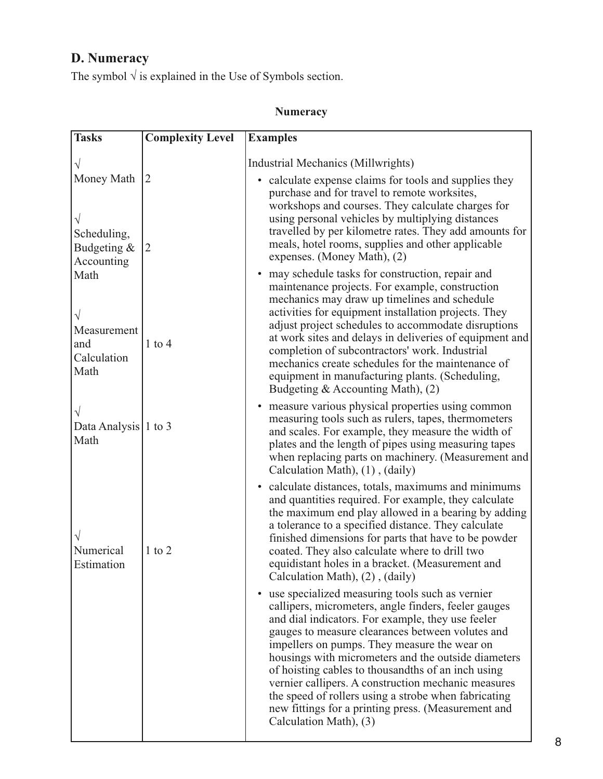# **D. Numeracy**

The symbol  $\sqrt{ }$  is explained in the Use of Symbols section.

### **Numeracy**

| <b>Tasks</b>                                           | <b>Complexity Level</b> | <b>Examples</b>                                                                                                                                                                                                                                                                                                                                                                                                                                                                                                                                                                            |
|--------------------------------------------------------|-------------------------|--------------------------------------------------------------------------------------------------------------------------------------------------------------------------------------------------------------------------------------------------------------------------------------------------------------------------------------------------------------------------------------------------------------------------------------------------------------------------------------------------------------------------------------------------------------------------------------------|
|                                                        |                         | Industrial Mechanics (Millwrights)                                                                                                                                                                                                                                                                                                                                                                                                                                                                                                                                                         |
| Money Math<br>Scheduling,<br>Budgeting &<br>Accounting | 12<br> 2                | • calculate expense claims for tools and supplies they<br>purchase and for travel to remote worksites,<br>workshops and courses. They calculate charges for<br>using personal vehicles by multiplying distances<br>travelled by per kilometre rates. They add amounts for<br>meals, hotel rooms, supplies and other applicable<br>expenses. (Money Math), (2)                                                                                                                                                                                                                              |
| Math<br>Measurement<br>and<br>Calculation<br>Math      | $1$ to $4$              | may schedule tasks for construction, repair and<br>maintenance projects. For example, construction<br>mechanics may draw up timelines and schedule<br>activities for equipment installation projects. They<br>adjust project schedules to accommodate disruptions<br>at work sites and delays in deliveries of equipment and<br>completion of subcontractors' work. Industrial<br>mechanics create schedules for the maintenance of<br>equipment in manufacturing plants. (Scheduling,<br>Budgeting & Accounting Math), (2)                                                                |
| Data Analysis 1 to 3<br>Math                           |                         | measure various physical properties using common<br>$\bullet$<br>measuring tools such as rulers, tapes, thermometers<br>and scales. For example, they measure the width of<br>plates and the length of pipes using measuring tapes<br>when replacing parts on machinery. (Measurement and<br>Calculation Math), (1), (daily)                                                                                                                                                                                                                                                               |
| Numerical<br>Estimation                                | $1$ to $2$              | • calculate distances, totals, maximums and minimums<br>and quantities required. For example, they calculate<br>the maximum end play allowed in a bearing by adding<br>a tolerance to a specified distance. They calculate<br>finished dimensions for parts that have to be powder<br>coated. They also calculate where to drill two<br>equidistant holes in a bracket. (Measurement and<br>Calculation Math), (2), (daily)                                                                                                                                                                |
|                                                        |                         | use specialized measuring tools such as vernier<br>$\bullet$<br>callipers, micrometers, angle finders, feeler gauges<br>and dial indicators. For example, they use feeler<br>gauges to measure clearances between volutes and<br>impellers on pumps. They measure the wear on<br>housings with micrometers and the outside diameters<br>of hoisting cables to thousandths of an inch using<br>vernier callipers. A construction mechanic measures<br>the speed of rollers using a strobe when fabricating<br>new fittings for a printing press. (Measurement and<br>Calculation Math), (3) |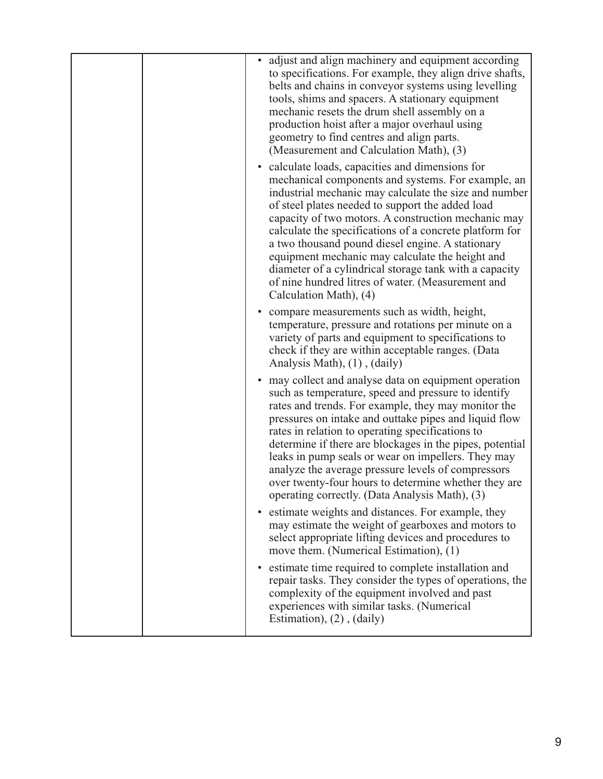|  | adjust and align machinery and equipment according<br>to specifications. For example, they align drive shafts,<br>belts and chains in conveyor systems using levelling<br>tools, shims and spacers. A stationary equipment<br>mechanic resets the drum shell assembly on a<br>production hoist after a major overhaul using<br>geometry to find centres and align parts.<br>(Measurement and Calculation Math), (3)                                                                                                                                                                   |
|--|---------------------------------------------------------------------------------------------------------------------------------------------------------------------------------------------------------------------------------------------------------------------------------------------------------------------------------------------------------------------------------------------------------------------------------------------------------------------------------------------------------------------------------------------------------------------------------------|
|  | • calculate loads, capacities and dimensions for<br>mechanical components and systems. For example, an<br>industrial mechanic may calculate the size and number<br>of steel plates needed to support the added load<br>capacity of two motors. A construction mechanic may<br>calculate the specifications of a concrete platform for<br>a two thousand pound diesel engine. A stationary<br>equipment mechanic may calculate the height and<br>diameter of a cylindrical storage tank with a capacity<br>of nine hundred litres of water. (Measurement and<br>Calculation Math), (4) |
|  | compare measurements such as width, height,<br>temperature, pressure and rotations per minute on a<br>variety of parts and equipment to specifications to<br>check if they are within acceptable ranges. (Data<br>Analysis Math), (1), (daily)                                                                                                                                                                                                                                                                                                                                        |
|  | • may collect and analyse data on equipment operation<br>such as temperature, speed and pressure to identify<br>rates and trends. For example, they may monitor the<br>pressures on intake and outtake pipes and liquid flow<br>rates in relation to operating specifications to<br>determine if there are blockages in the pipes, potential<br>leaks in pump seals or wear on impellers. They may<br>analyze the average pressure levels of compressors<br>over twenty-four hours to determine whether they are<br>operating correctly. (Data Analysis Math), (3)                    |
|  | estimate weights and distances. For example, they<br>$\bullet$<br>may estimate the weight of gearboxes and motors to<br>select appropriate lifting devices and procedures to<br>move them. (Numerical Estimation), (1)                                                                                                                                                                                                                                                                                                                                                                |
|  | • estimate time required to complete installation and<br>repair tasks. They consider the types of operations, the<br>complexity of the equipment involved and past<br>experiences with similar tasks. (Numerical<br>Estimation), $(2)$ , $(daily)$                                                                                                                                                                                                                                                                                                                                    |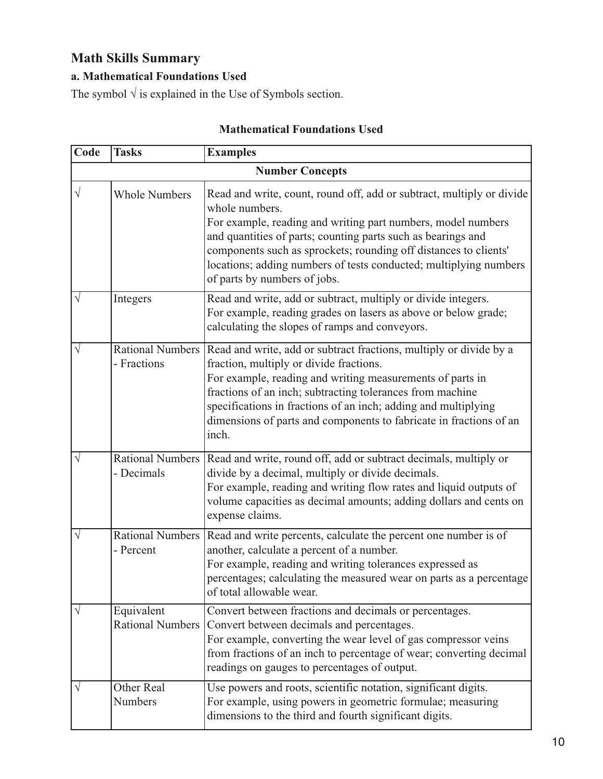# **Math Skills Summary**

### **a. Mathematical Foundations Used**

The symbol  $\sqrt{ }$  is explained in the Use of Symbols section.

| Code      | <b>Tasks</b>                           | <b>Examples</b>                                                                                                                                                                                                                                                                                                                                                                                  |  |  |  |  |
|-----------|----------------------------------------|--------------------------------------------------------------------------------------------------------------------------------------------------------------------------------------------------------------------------------------------------------------------------------------------------------------------------------------------------------------------------------------------------|--|--|--|--|
|           | <b>Number Concepts</b>                 |                                                                                                                                                                                                                                                                                                                                                                                                  |  |  |  |  |
| $\sqrt{}$ | <b>Whole Numbers</b>                   | Read and write, count, round off, add or subtract, multiply or divide<br>whole numbers.<br>For example, reading and writing part numbers, model numbers<br>and quantities of parts; counting parts such as bearings and<br>components such as sprockets; rounding off distances to clients'<br>locations; adding numbers of tests conducted; multiplying numbers<br>of parts by numbers of jobs. |  |  |  |  |
| V         | Integers                               | Read and write, add or subtract, multiply or divide integers.<br>For example, reading grades on lasers as above or below grade;<br>calculating the slopes of ramps and conveyors.                                                                                                                                                                                                                |  |  |  |  |
| V         | <b>Rational Numbers</b><br>- Fractions | Read and write, add or subtract fractions, multiply or divide by a<br>fraction, multiply or divide fractions.<br>For example, reading and writing measurements of parts in<br>fractions of an inch; subtracting tolerances from machine<br>specifications in fractions of an inch; adding and multiplying<br>dimensions of parts and components to fabricate in fractions of an<br>inch.         |  |  |  |  |
| V         | Rational Numbers<br>- Decimals         | Read and write, round off, add or subtract decimals, multiply or<br>divide by a decimal, multiply or divide decimals.<br>For example, reading and writing flow rates and liquid outputs of<br>volume capacities as decimal amounts; adding dollars and cents on<br>expense claims.                                                                                                               |  |  |  |  |
| V         | Rational Numbers<br>- Percent          | Read and write percents, calculate the percent one number is of<br>another, calculate a percent of a number.<br>For example, reading and writing tolerances expressed as<br>percentages; calculating the measured wear on parts as a percentage<br>of total allowable wear.                                                                                                                      |  |  |  |  |
|           | Equivalent<br><b>Rational Numbers</b>  | Convert between fractions and decimals or percentages.<br>Convert between decimals and percentages.<br>For example, converting the wear level of gas compressor veins<br>from fractions of an inch to percentage of wear; converting decimal<br>readings on gauges to percentages of output.                                                                                                     |  |  |  |  |
|           | Other Real<br>Numbers                  | Use powers and roots, scientific notation, significant digits.<br>For example, using powers in geometric formulae; measuring<br>dimensions to the third and fourth significant digits.                                                                                                                                                                                                           |  |  |  |  |

### **Mathematical Foundations Used**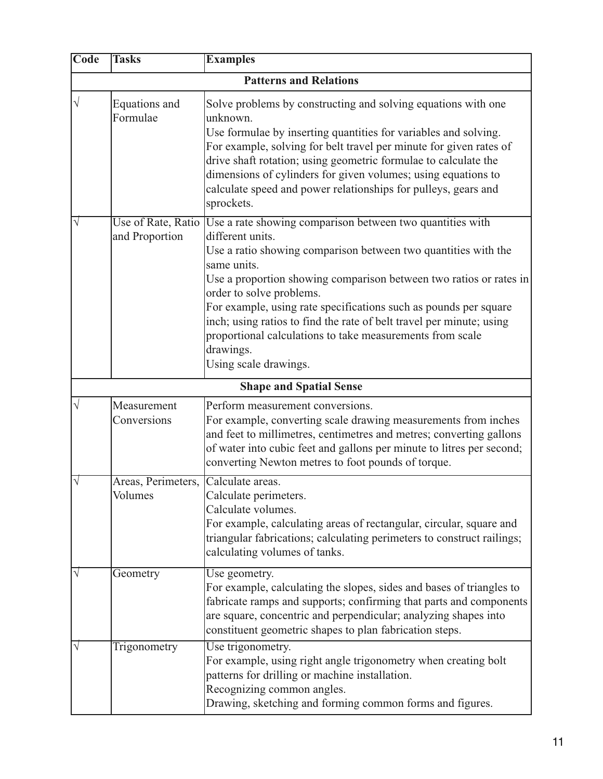| Code      | <b>Tasks</b>                         | <b>Examples</b>                                                                                                                                                                                                                                                                                                                                                                                                                                                                                                 |  |  |  |  |
|-----------|--------------------------------------|-----------------------------------------------------------------------------------------------------------------------------------------------------------------------------------------------------------------------------------------------------------------------------------------------------------------------------------------------------------------------------------------------------------------------------------------------------------------------------------------------------------------|--|--|--|--|
|           | <b>Patterns and Relations</b>        |                                                                                                                                                                                                                                                                                                                                                                                                                                                                                                                 |  |  |  |  |
|           | Equations and<br>Formulae            | Solve problems by constructing and solving equations with one<br>unknown.<br>Use formulae by inserting quantities for variables and solving.<br>For example, solving for belt travel per minute for given rates of<br>drive shaft rotation; using geometric formulae to calculate the<br>dimensions of cylinders for given volumes; using equations to<br>calculate speed and power relationships for pulleys, gears and<br>sprockets.                                                                          |  |  |  |  |
|           | Use of Rate, Ratio<br>and Proportion | Use a rate showing comparison between two quantities with<br>different units.<br>Use a ratio showing comparison between two quantities with the<br>same units.<br>Use a proportion showing comparison between two ratios or rates in<br>order to solve problems.<br>For example, using rate specifications such as pounds per square<br>inch; using ratios to find the rate of belt travel per minute; using<br>proportional calculations to take measurements from scale<br>drawings.<br>Using scale drawings. |  |  |  |  |
|           |                                      | <b>Shape and Spatial Sense</b>                                                                                                                                                                                                                                                                                                                                                                                                                                                                                  |  |  |  |  |
|           | Measurement<br>Conversions           | Perform measurement conversions.<br>For example, converting scale drawing measurements from inches<br>and feet to millimetres, centimetres and metres; converting gallons<br>of water into cubic feet and gallons per minute to litres per second;<br>converting Newton metres to foot pounds of torque.                                                                                                                                                                                                        |  |  |  |  |
| $\sqrt{}$ | Areas, Perimeters,<br>Volumes        | Calculate areas.<br>Calculate perimeters.<br>Calculate volumes.<br>For example, calculating areas of rectangular, circular, square and<br>triangular fabrications; calculating perimeters to construct railings;<br>calculating volumes of tanks.                                                                                                                                                                                                                                                               |  |  |  |  |
|           | Geometry                             | Use geometry.<br>For example, calculating the slopes, sides and bases of triangles to<br>fabricate ramps and supports; confirming that parts and components<br>are square, concentric and perpendicular; analyzing shapes into<br>constituent geometric shapes to plan fabrication steps.                                                                                                                                                                                                                       |  |  |  |  |
|           | Trigonometry                         | Use trigonometry.<br>For example, using right angle trigonometry when creating bolt<br>patterns for drilling or machine installation.<br>Recognizing common angles.<br>Drawing, sketching and forming common forms and figures.                                                                                                                                                                                                                                                                                 |  |  |  |  |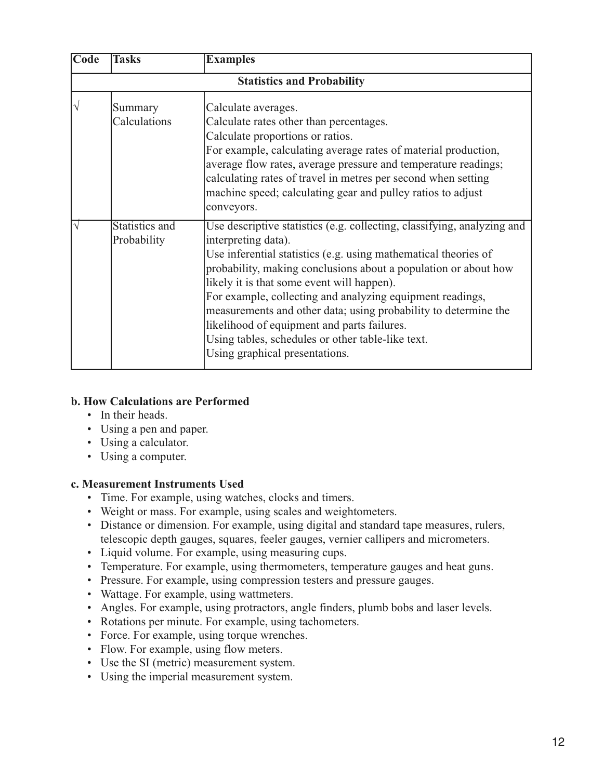| Code | <b>Tasks</b>                      | <b>Examples</b>                                                                                                                                                                                                                                                                                                                                                                                                                                                                                                                                          |  |  |  |  |
|------|-----------------------------------|----------------------------------------------------------------------------------------------------------------------------------------------------------------------------------------------------------------------------------------------------------------------------------------------------------------------------------------------------------------------------------------------------------------------------------------------------------------------------------------------------------------------------------------------------------|--|--|--|--|
|      | <b>Statistics and Probability</b> |                                                                                                                                                                                                                                                                                                                                                                                                                                                                                                                                                          |  |  |  |  |
|      | Summary<br>Calculations           | Calculate averages.<br>Calculate rates other than percentages.<br>Calculate proportions or ratios.<br>For example, calculating average rates of material production,<br>average flow rates, average pressure and temperature readings;<br>calculating rates of travel in metres per second when setting<br>machine speed; calculating gear and pulley ratios to adjust<br>conveyors.                                                                                                                                                                     |  |  |  |  |
|      | Statistics and<br>Probability     | Use descriptive statistics (e.g. collecting, classifying, analyzing and<br>interpreting data).<br>Use inferential statistics (e.g. using mathematical theories of<br>probability, making conclusions about a population or about how<br>likely it is that some event will happen).<br>For example, collecting and analyzing equipment readings,<br>measurements and other data; using probability to determine the<br>likelihood of equipment and parts failures.<br>Using tables, schedules or other table-like text.<br>Using graphical presentations. |  |  |  |  |

#### **b. How Calculations are Performed**

- In their heads.
- Using a pen and paper.
- Using a calculator.
- Using a computer.

#### **c. Measurement Instruments Used**

- Time. For example, using watches, clocks and timers.
- Weight or mass. For example, using scales and weightometers.
- Distance or dimension. For example, using digital and standard tape measures, rulers, telescopic depth gauges, squares, feeler gauges, vernier callipers and micrometers.
- Liquid volume. For example, using measuring cups.
- Temperature. For example, using thermometers, temperature gauges and heat guns.
- Pressure. For example, using compression testers and pressure gauges.
- Wattage. For example, using wattmeters.
- Angles. For example, using protractors, angle finders, plumb bobs and laser levels.
- Rotations per minute. For example, using tachometers.
- Force. For example, using torque wrenches.
- Flow. For example, using flow meters.
- Use the SI (metric) measurement system.
- Using the imperial measurement system.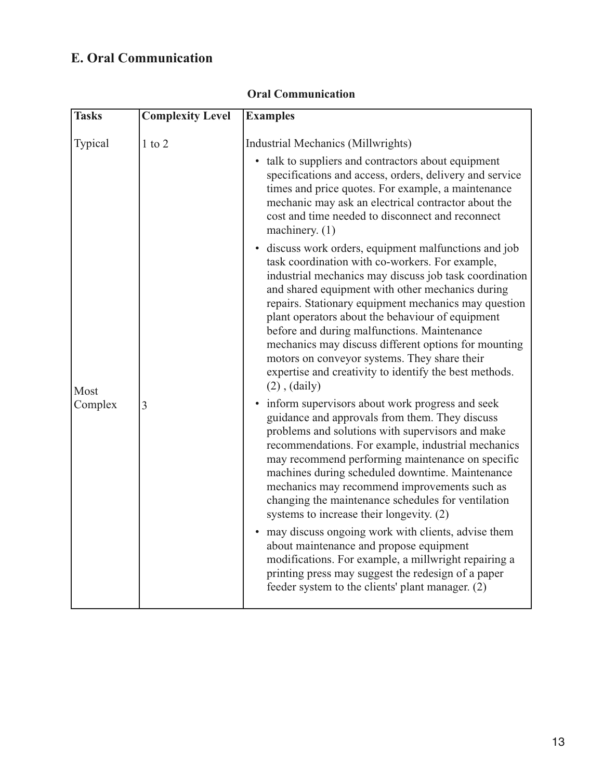## **E. Oral Communication**

| <b>Tasks</b> | <b>Complexity Level</b> | <b>Examples</b>                                                                                                                                                                                                                                                                                                                                                                                                                                                                                                                                                          |
|--------------|-------------------------|--------------------------------------------------------------------------------------------------------------------------------------------------------------------------------------------------------------------------------------------------------------------------------------------------------------------------------------------------------------------------------------------------------------------------------------------------------------------------------------------------------------------------------------------------------------------------|
| Typical      | $1$ to $2$              | Industrial Mechanics (Millwrights)                                                                                                                                                                                                                                                                                                                                                                                                                                                                                                                                       |
|              |                         | • talk to suppliers and contractors about equipment<br>specifications and access, orders, delivery and service<br>times and price quotes. For example, a maintenance<br>mechanic may ask an electrical contractor about the<br>cost and time needed to disconnect and reconnect<br>machinery. $(1)$                                                                                                                                                                                                                                                                      |
| Most         | 3                       | • discuss work orders, equipment malfunctions and job<br>task coordination with co-workers. For example,<br>industrial mechanics may discuss job task coordination<br>and shared equipment with other mechanics during<br>repairs. Stationary equipment mechanics may question<br>plant operators about the behaviour of equipment<br>before and during malfunctions. Maintenance<br>mechanics may discuss different options for mounting<br>motors on conveyor systems. They share their<br>expertise and creativity to identify the best methods.<br>$(2)$ , $(daily)$ |
| Complex      |                         | • inform supervisors about work progress and seek<br>guidance and approvals from them. They discuss<br>problems and solutions with supervisors and make<br>recommendations. For example, industrial mechanics<br>may recommend performing maintenance on specific<br>machines during scheduled downtime. Maintenance<br>mechanics may recommend improvements such as<br>changing the maintenance schedules for ventilation<br>systems to increase their longevity. (2)                                                                                                   |
|              |                         | may discuss ongoing work with clients, advise them<br>$\bullet$<br>about maintenance and propose equipment<br>modifications. For example, a millwright repairing a<br>printing press may suggest the redesign of a paper<br>feeder system to the clients' plant manager. (2)                                                                                                                                                                                                                                                                                             |

### **Oral Communication**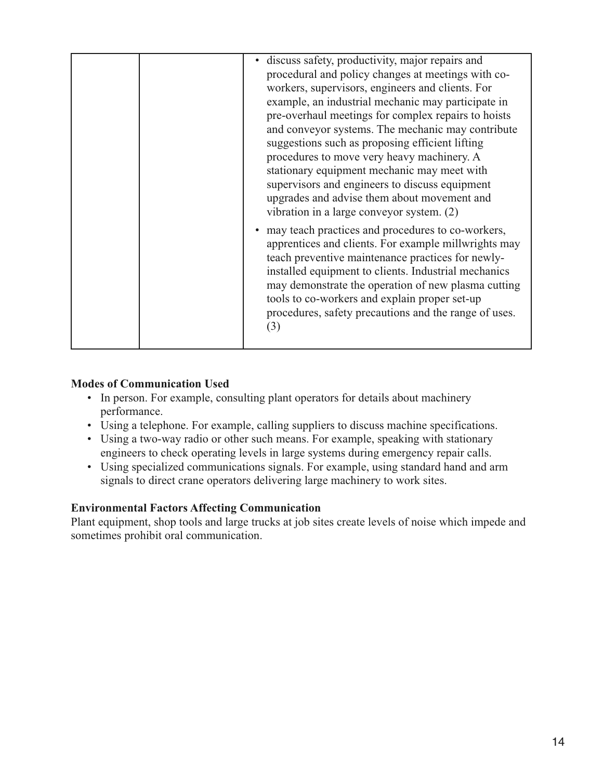| discuss safety, productivity, major repairs and<br>$\bullet$<br>procedural and policy changes at meetings with co-<br>workers, supervisors, engineers and clients. For<br>example, an industrial mechanic may participate in<br>pre-overhaul meetings for complex repairs to hoists<br>and conveyor systems. The mechanic may contribute<br>suggestions such as proposing efficient lifting<br>procedures to move very heavy machinery. A<br>stationary equipment mechanic may meet with<br>supervisors and engineers to discuss equipment<br>upgrades and advise them about movement and |
|-------------------------------------------------------------------------------------------------------------------------------------------------------------------------------------------------------------------------------------------------------------------------------------------------------------------------------------------------------------------------------------------------------------------------------------------------------------------------------------------------------------------------------------------------------------------------------------------|
| vibration in a large conveyor system. (2)<br>• may teach practices and procedures to co-workers,<br>apprentices and clients. For example millwrights may<br>teach preventive maintenance practices for newly-<br>installed equipment to clients. Industrial mechanics<br>may demonstrate the operation of new plasma cutting<br>tools to co-workers and explain proper set-up<br>procedures, safety precautions and the range of uses.<br>(3)                                                                                                                                             |

#### **Modes of Communication Used**

- In person. For example, consulting plant operators for details about machinery performance.
- Using a telephone. For example, calling suppliers to discuss machine specifications.
- Using a two-way radio or other such means. For example, speaking with stationary engineers to check operating levels in large systems during emergency repair calls.
- Using specialized communications signals. For example, using standard hand and arm signals to direct crane operators delivering large machinery to work sites.

### **Environmental Factors Affecting Communication**

Plant equipment, shop tools and large trucks at job sites create levels of noise which impede and sometimes prohibit oral communication.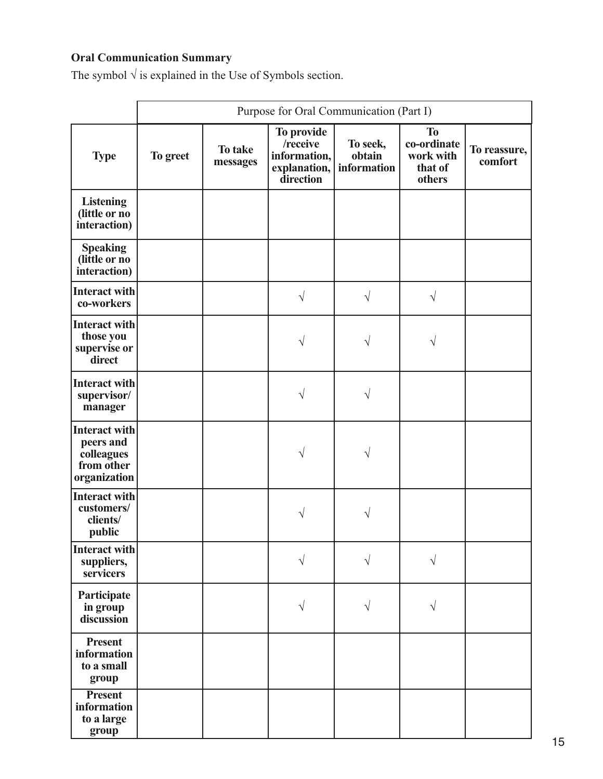# **Oral Communication Summary**

The symbol  $\sqrt{ }$  is explained in the Use of Symbols section.

|                                                                               | Purpose for Oral Communication (Part I) |                     |                                                                     |                                   |                                                            |                         |
|-------------------------------------------------------------------------------|-----------------------------------------|---------------------|---------------------------------------------------------------------|-----------------------------------|------------------------------------------------------------|-------------------------|
| <b>Type</b>                                                                   | To greet                                | To take<br>messages | To provide<br>/receive<br>information,<br>explanation,<br>direction | To seek,<br>obtain<br>information | <b>To</b><br>co-ordinate<br>work with<br>that of<br>others | To reassure,<br>comfort |
| <b>Listening</b><br>(little or no<br>interaction)                             |                                         |                     |                                                                     |                                   |                                                            |                         |
| <b>Speaking</b><br>(little or no<br>interaction)                              |                                         |                     |                                                                     |                                   |                                                            |                         |
| <b>Interact with</b><br>co-workers                                            |                                         |                     | $\sqrt{}$                                                           | V                                 | $\sqrt{ }$                                                 |                         |
| Interact with<br>those you<br>supervise or<br>direct                          |                                         |                     | $\sqrt{}$                                                           | V                                 | V                                                          |                         |
| Interact with<br>supervisor/<br>manager                                       |                                         |                     | V                                                                   | V                                 |                                                            |                         |
| <b>Interact with</b><br>peers and<br>colleagues<br>from other<br>organization |                                         |                     |                                                                     |                                   |                                                            |                         |
| <b>Interact with</b><br>customers/<br>clients/<br>public                      |                                         |                     |                                                                     |                                   |                                                            |                         |
| Interact with<br>suppliers,<br>servicers                                      |                                         |                     |                                                                     |                                   |                                                            |                         |
| Participate<br>in group<br>discussion                                         |                                         |                     | V                                                                   | V                                 | V                                                          |                         |
| <b>Present</b><br>information<br>to a small<br>group                          |                                         |                     |                                                                     |                                   |                                                            |                         |
| Present<br>information<br>to a large<br>group                                 |                                         |                     |                                                                     |                                   |                                                            |                         |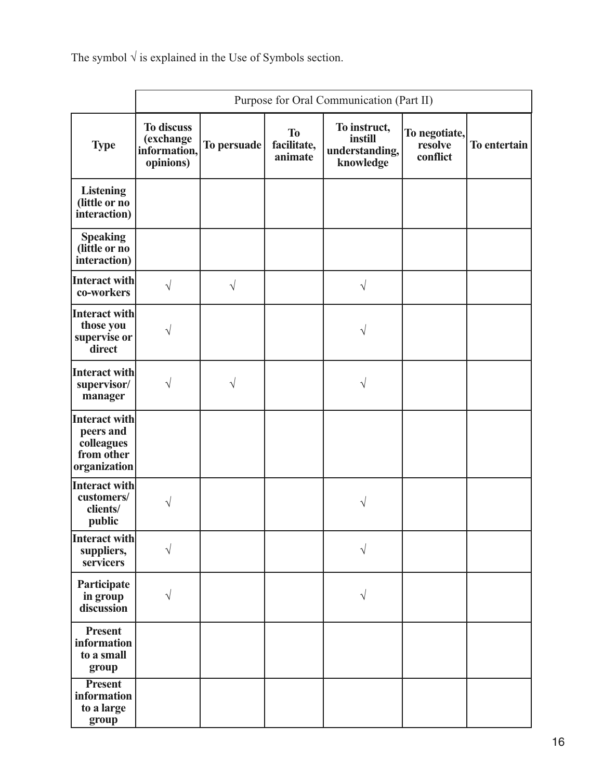The symbol  $\sqrt{ }$  is explained in the Use of Symbols section.

|                                                                        | Purpose for Oral Communication (Part II)                    |             |                                     |                                                        |                                      |              |
|------------------------------------------------------------------------|-------------------------------------------------------------|-------------|-------------------------------------|--------------------------------------------------------|--------------------------------------|--------------|
| <b>Type</b>                                                            | <b>To discuss</b><br>(exchange<br>information,<br>opinions) | To persuade | <b>To</b><br>facilitate,<br>animate | To instruct,<br>instill<br>understanding,<br>knowledge | To negotiate,<br>resolve<br>conflict | To entertain |
| <b>Listening</b><br>(little or no<br>interaction)                      |                                                             |             |                                     |                                                        |                                      |              |
| <b>Speaking</b><br>(little or no<br>interaction)                       |                                                             |             |                                     |                                                        |                                      |              |
| Interact with<br>co-workers                                            | $\sqrt{}$                                                   | $\sqrt{}$   |                                     | $\sqrt{}$                                              |                                      |              |
| Interact with<br>those you<br>supervise or<br>direct                   |                                                             |             |                                     | V                                                      |                                      |              |
| Interact with<br>supervisor/<br>manager                                | V                                                           | V           |                                     | V                                                      |                                      |              |
| Interact with<br>peers and<br>colleagues<br>from other<br>organization |                                                             |             |                                     |                                                        |                                      |              |
| Interact with<br>customers/<br>clients/<br>public                      | V                                                           |             |                                     | V                                                      |                                      |              |
| Interact with<br>suppliers,<br>servicers                               |                                                             |             |                                     |                                                        |                                      |              |
| Participate<br>in group<br>discussion                                  |                                                             |             |                                     | $\sqrt{}$                                              |                                      |              |
| <b>Present</b><br>information<br>to a small<br>group                   |                                                             |             |                                     |                                                        |                                      |              |
| <b>Present</b><br>information<br>to a large<br>group                   |                                                             |             |                                     |                                                        |                                      |              |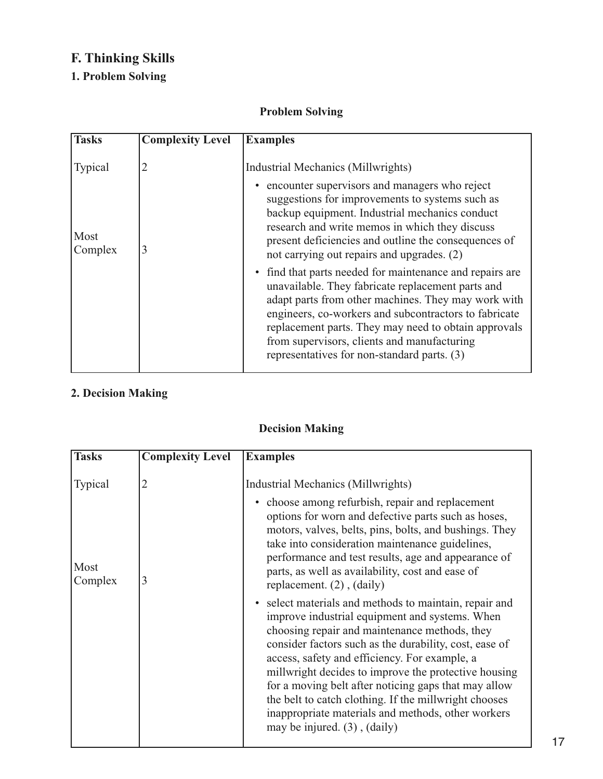# **F. Thinking Skills**

### **1. Problem Solving**

### **Problem Solving**

| <b>Tasks</b>    | <b>Complexity Level</b> | <b>Examples</b>                                                                                                                                                                                                                                                                                                                                                                     |
|-----------------|-------------------------|-------------------------------------------------------------------------------------------------------------------------------------------------------------------------------------------------------------------------------------------------------------------------------------------------------------------------------------------------------------------------------------|
| Typical         |                         | Industrial Mechanics (Millwrights)                                                                                                                                                                                                                                                                                                                                                  |
| Most<br>Complex | 3                       | encounter supervisors and managers who reject<br>suggestions for improvements to systems such as<br>backup equipment. Industrial mechanics conduct<br>research and write memos in which they discuss<br>present deficiencies and outline the consequences of<br>not carrying out repairs and upgrades. (2)                                                                          |
|                 |                         | • find that parts needed for maintenance and repairs are<br>unavailable. They fabricate replacement parts and<br>adapt parts from other machines. They may work with<br>engineers, co-workers and subcontractors to fabricate<br>replacement parts. They may need to obtain approvals<br>from supervisors, clients and manufacturing<br>representatives for non-standard parts. (3) |

### **2. Decision Making**

### **Decision Making**

| <b>Tasks</b>    | <b>Complexity Level</b> | <b>Examples</b>                                                                                                                                                                                                                                                                                                                                                                                                                                                                                                                        |
|-----------------|-------------------------|----------------------------------------------------------------------------------------------------------------------------------------------------------------------------------------------------------------------------------------------------------------------------------------------------------------------------------------------------------------------------------------------------------------------------------------------------------------------------------------------------------------------------------------|
| <b>Typical</b>  | 2                       | Industrial Mechanics (Millwrights)                                                                                                                                                                                                                                                                                                                                                                                                                                                                                                     |
| Most<br>Complex | 3                       | • choose among refurbish, repair and replacement<br>options for worn and defective parts such as hoses,<br>motors, valves, belts, pins, bolts, and bushings. They<br>take into consideration maintenance guidelines,<br>performance and test results, age and appearance of<br>parts, as well as availability, cost and ease of<br>replacement. $(2)$ , $(daily)$                                                                                                                                                                      |
|                 |                         | select materials and methods to maintain, repair and<br>improve industrial equipment and systems. When<br>choosing repair and maintenance methods, they<br>consider factors such as the durability, cost, ease of<br>access, safety and efficiency. For example, a<br>millwright decides to improve the protective housing<br>for a moving belt after noticing gaps that may allow<br>the belt to catch clothing. If the millwright chooses<br>inappropriate materials and methods, other workers<br>may be injured. $(3)$ , $(daily)$ |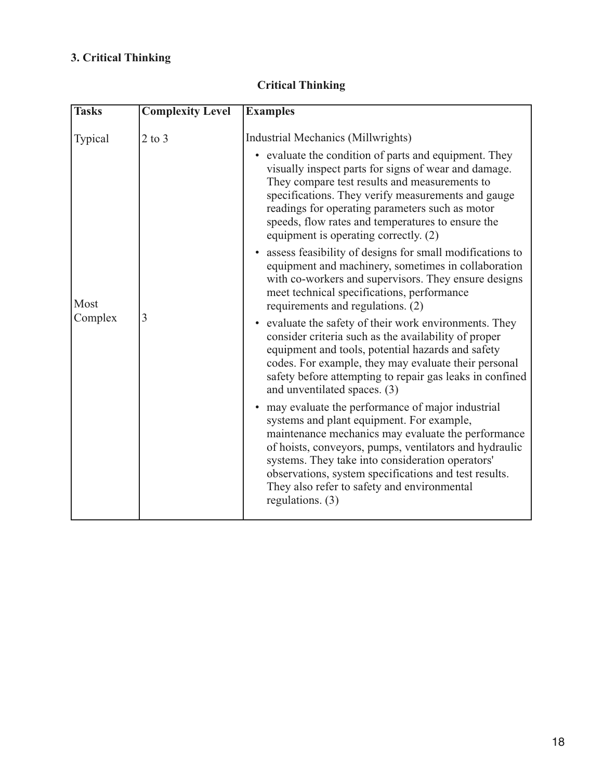# **3. Critical Thinking**

| <b>Tasks</b> | <b>Complexity Level</b> | <b>Examples</b>                                                                                                                                                                                                                                                                                                                                                                                 |
|--------------|-------------------------|-------------------------------------------------------------------------------------------------------------------------------------------------------------------------------------------------------------------------------------------------------------------------------------------------------------------------------------------------------------------------------------------------|
|              |                         |                                                                                                                                                                                                                                                                                                                                                                                                 |
| Typical      | $2$ to $3$              | Industrial Mechanics (Millwrights)                                                                                                                                                                                                                                                                                                                                                              |
|              |                         | • evaluate the condition of parts and equipment. They<br>visually inspect parts for signs of wear and damage.<br>They compare test results and measurements to<br>specifications. They verify measurements and gauge<br>readings for operating parameters such as motor<br>speeds, flow rates and temperatures to ensure the<br>equipment is operating correctly. (2)                           |
| Most         |                         | • assess feasibility of designs for small modifications to<br>equipment and machinery, sometimes in collaboration<br>with co-workers and supervisors. They ensure designs<br>meet technical specifications, performance<br>requirements and regulations. (2)                                                                                                                                    |
| Complex      | 3                       | • evaluate the safety of their work environments. They<br>consider criteria such as the availability of proper<br>equipment and tools, potential hazards and safety<br>codes. For example, they may evaluate their personal<br>safety before attempting to repair gas leaks in confined<br>and unventilated spaces. (3)                                                                         |
|              |                         | • may evaluate the performance of major industrial<br>systems and plant equipment. For example,<br>maintenance mechanics may evaluate the performance<br>of hoists, conveyors, pumps, ventilators and hydraulic<br>systems. They take into consideration operators'<br>observations, system specifications and test results.<br>They also refer to safety and environmental<br>regulations. (3) |

### **Critical Thinking**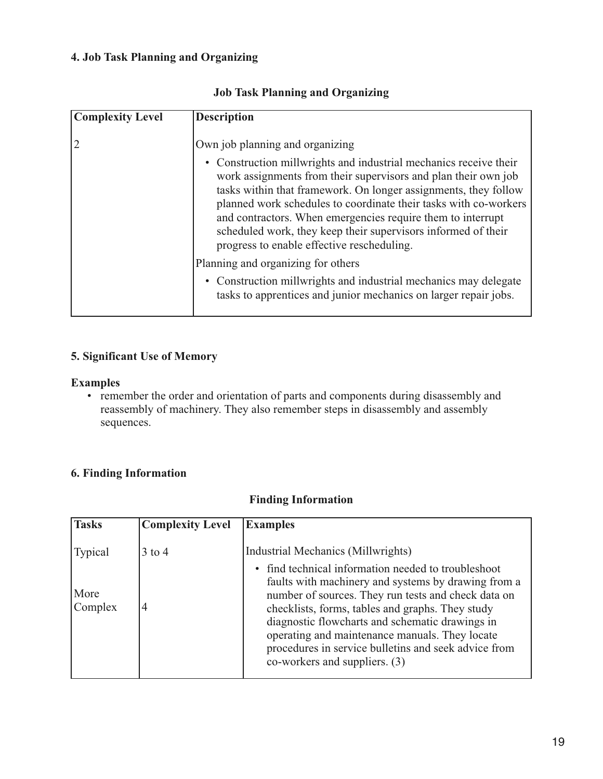#### **4. Job Task Planning and Organizing**

| <b>Complexity Level</b> | <b>Description</b>                                                                                                                                                                                                                                                                                                                                                                                                                                                                                                                                                                                                                                                        |
|-------------------------|---------------------------------------------------------------------------------------------------------------------------------------------------------------------------------------------------------------------------------------------------------------------------------------------------------------------------------------------------------------------------------------------------------------------------------------------------------------------------------------------------------------------------------------------------------------------------------------------------------------------------------------------------------------------------|
|                         | Own job planning and organizing<br>• Construction millwrights and industrial mechanics receive their<br>work assignments from their supervisors and plan their own job<br>tasks within that framework. On longer assignments, they follow<br>planned work schedules to coordinate their tasks with co-workers<br>and contractors. When emergencies require them to interrupt<br>scheduled work, they keep their supervisors informed of their<br>progress to enable effective rescheduling.<br>Planning and organizing for others<br>• Construction millwrights and industrial mechanics may delegate<br>tasks to apprentices and junior mechanics on larger repair jobs. |
|                         |                                                                                                                                                                                                                                                                                                                                                                                                                                                                                                                                                                                                                                                                           |

#### **Job Task Planning and Organizing**

#### **5. Significant Use of Memory**

#### **Examples**

• remember the order and orientation of parts and components during disassembly and reassembly of machinery. They also remember steps in disassembly and assembly sequences.

### **6. Finding Information**

#### **Finding Information**

| <b>Tasks</b>               | <b>Complexity Level</b> | <b>Examples</b>                                                                                                                                                                                                                                                                                                                                                                                                                                         |
|----------------------------|-------------------------|---------------------------------------------------------------------------------------------------------------------------------------------------------------------------------------------------------------------------------------------------------------------------------------------------------------------------------------------------------------------------------------------------------------------------------------------------------|
| Typical<br>More<br>Complex | $3$ to 4                | Industrial Mechanics (Millwrights)<br>find technical information needed to troubleshoot<br>faults with machinery and systems by drawing from a<br>number of sources. They run tests and check data on<br>checklists, forms, tables and graphs. They study<br>diagnostic flowcharts and schematic drawings in<br>operating and maintenance manuals. They locate<br>procedures in service bulletins and seek advice from<br>co-workers and suppliers. (3) |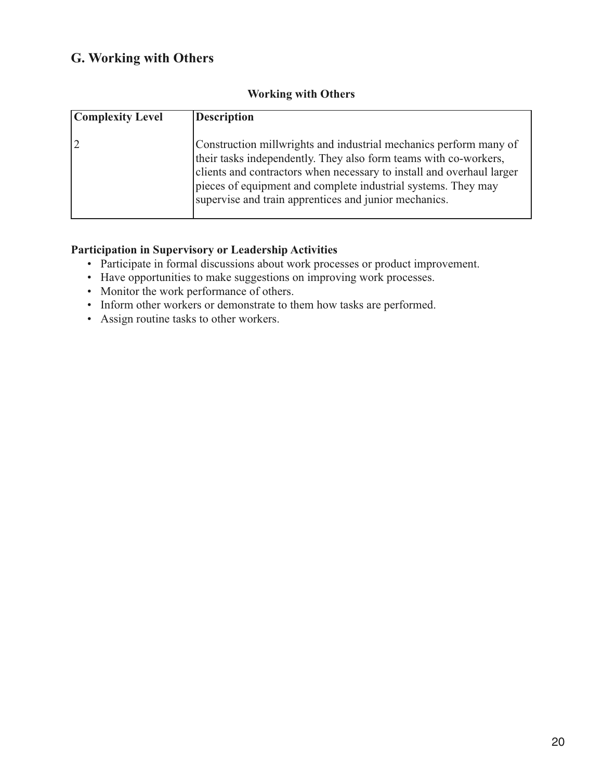### **G. Working with Others**

| <b>Complexity Level</b> | <b>Description</b>                                                                                                                                                                                                                                                                                                                       |
|-------------------------|------------------------------------------------------------------------------------------------------------------------------------------------------------------------------------------------------------------------------------------------------------------------------------------------------------------------------------------|
|                         | Construction millwrights and industrial mechanics perform many of<br>their tasks independently. They also form teams with co-workers,<br>clients and contractors when necessary to install and overhaul larger<br>pieces of equipment and complete industrial systems. They may<br>supervise and train apprentices and junior mechanics. |

#### **Working with Others**

#### **Participation in Supervisory or Leadership Activities**

- Participate in formal discussions about work processes or product improvement.
- Have opportunities to make suggestions on improving work processes.
- Monitor the work performance of others.
- Inform other workers or demonstrate to them how tasks are performed.
- Assign routine tasks to other workers.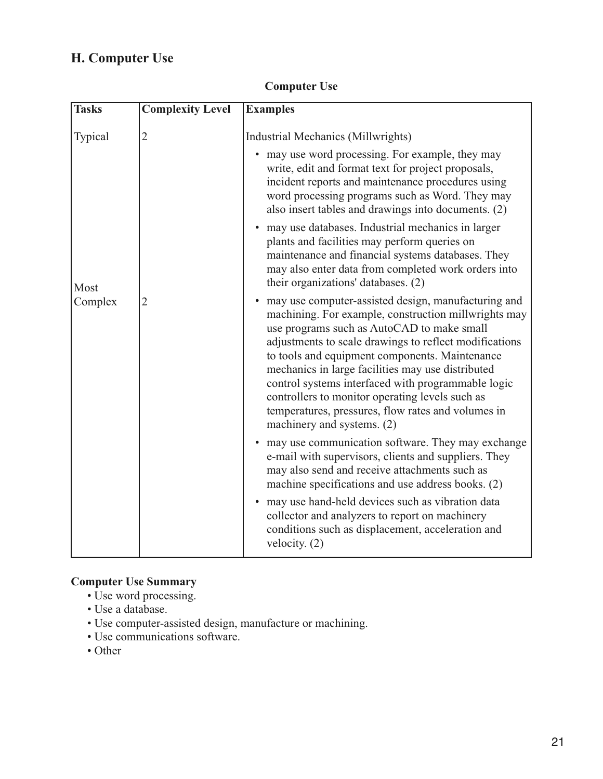# **H. Computer Use**

| <b>Tasks</b> | <b>Complexity Level</b> | <b>Examples</b>                                                                                                                                                                                                                                                                                                                                                                                                                                                                                                         |
|--------------|-------------------------|-------------------------------------------------------------------------------------------------------------------------------------------------------------------------------------------------------------------------------------------------------------------------------------------------------------------------------------------------------------------------------------------------------------------------------------------------------------------------------------------------------------------------|
|              |                         |                                                                                                                                                                                                                                                                                                                                                                                                                                                                                                                         |
| Typical      | $\overline{2}$          | Industrial Mechanics (Millwrights)                                                                                                                                                                                                                                                                                                                                                                                                                                                                                      |
|              |                         | • may use word processing. For example, they may<br>write, edit and format text for project proposals,<br>incident reports and maintenance procedures using<br>word processing programs such as Word. They may<br>also insert tables and drawings into documents. (2)                                                                                                                                                                                                                                                   |
| Most         |                         | may use databases. Industrial mechanics in larger<br>$\bullet$<br>plants and facilities may perform queries on<br>maintenance and financial systems databases. They<br>may also enter data from completed work orders into<br>their organizations' databases. (2)                                                                                                                                                                                                                                                       |
| Complex      | 2                       | may use computer-assisted design, manufacturing and<br>machining. For example, construction millwrights may<br>use programs such as AutoCAD to make small<br>adjustments to scale drawings to reflect modifications<br>to tools and equipment components. Maintenance<br>mechanics in large facilities may use distributed<br>control systems interfaced with programmable logic<br>controllers to monitor operating levels such as<br>temperatures, pressures, flow rates and volumes in<br>machinery and systems. (2) |
|              |                         | • may use communication software. They may exchange<br>e-mail with supervisors, clients and suppliers. They<br>may also send and receive attachments such as<br>machine specifications and use address books. (2)                                                                                                                                                                                                                                                                                                       |
|              |                         | • may use hand-held devices such as vibration data<br>collector and analyzers to report on machinery<br>conditions such as displacement, acceleration and<br>velocity. $(2)$                                                                                                                                                                                                                                                                                                                                            |

### **Computer Use**

### **Computer Use Summary**

- Use word processing.
- Use a database.
- Use computer-assisted design, manufacture or machining.
- Use communications software.
- Other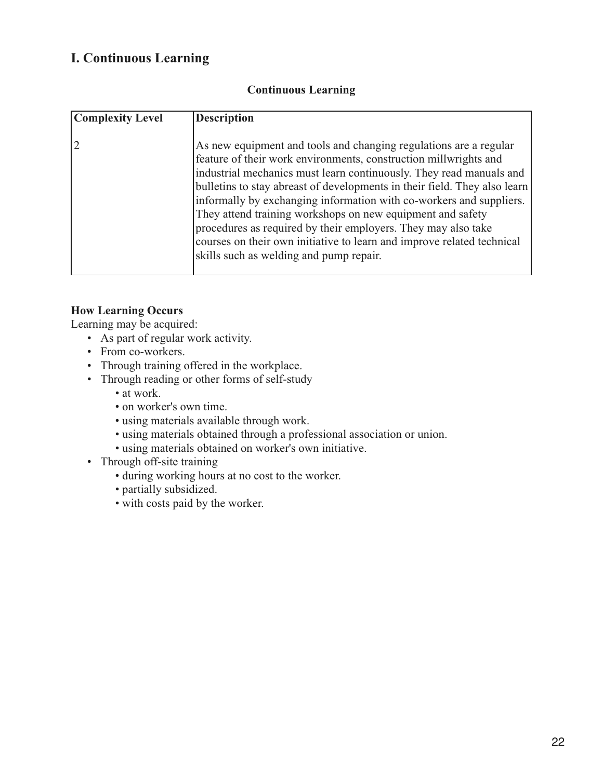### **I. Continuous Learning**

| <b>Complexity Level</b> | <b>Description</b>                                                                                                                                                                                                                                                                                                                                                                                                                                                                                                                                                                                                   |
|-------------------------|----------------------------------------------------------------------------------------------------------------------------------------------------------------------------------------------------------------------------------------------------------------------------------------------------------------------------------------------------------------------------------------------------------------------------------------------------------------------------------------------------------------------------------------------------------------------------------------------------------------------|
|                         | As new equipment and tools and changing regulations are a regular<br>feature of their work environments, construction millwrights and<br>industrial mechanics must learn continuously. They read manuals and<br>bulletins to stay abreast of developments in their field. They also learn<br>informally by exchanging information with co-workers and suppliers.<br>They attend training workshops on new equipment and safety<br>procedures as required by their employers. They may also take<br>courses on their own initiative to learn and improve related technical<br>skills such as welding and pump repair. |

#### **Continuous Learning**

#### **How Learning Occurs**

Learning may be acquired:

- As part of regular work activity.
- From co-workers.
- Through training offered in the workplace.
- Through reading or other forms of self-study
	- at work.
	- on worker's own time.
	- using materials available through work.
	- using materials obtained through a professional association or union.
	- using materials obtained on worker's own initiative.
- Through off-site training
	- during working hours at no cost to the worker.
	- partially subsidized.
	- with costs paid by the worker.